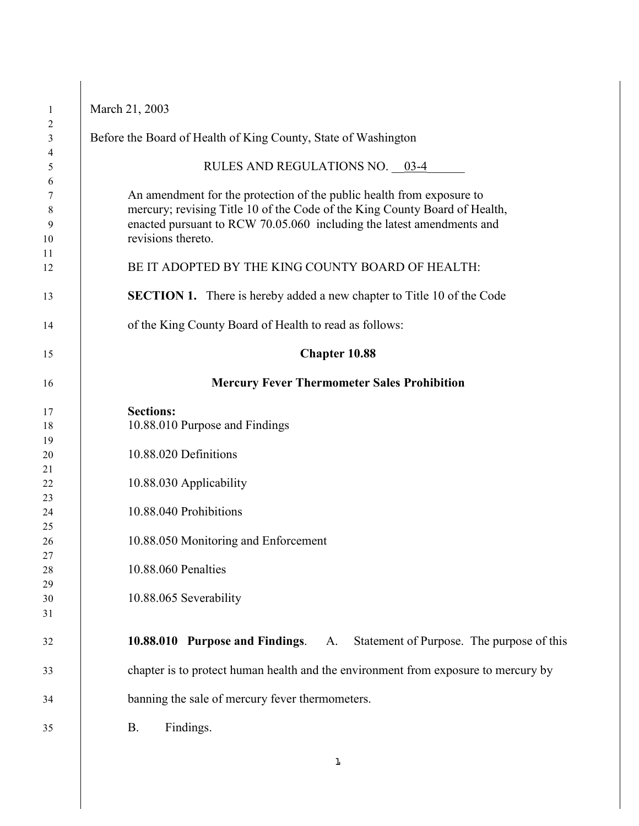| Before the Board of Health of King County, State of Washington                                                                                                                                                                                     |  |  |  |
|----------------------------------------------------------------------------------------------------------------------------------------------------------------------------------------------------------------------------------------------------|--|--|--|
| RULES AND REGULATIONS NO. 03-4                                                                                                                                                                                                                     |  |  |  |
| An amendment for the protection of the public health from exposure to<br>mercury; revising Title 10 of the Code of the King County Board of Health,<br>enacted pursuant to RCW 70.05.060 including the latest amendments and<br>revisions thereto. |  |  |  |
| BE IT ADOPTED BY THE KING COUNTY BOARD OF HEALTH:                                                                                                                                                                                                  |  |  |  |
| <b>SECTION 1.</b> There is hereby added a new chapter to Title 10 of the Code                                                                                                                                                                      |  |  |  |
| of the King County Board of Health to read as follows:                                                                                                                                                                                             |  |  |  |
| Chapter 10.88                                                                                                                                                                                                                                      |  |  |  |
| <b>Mercury Fever Thermometer Sales Prohibition</b>                                                                                                                                                                                                 |  |  |  |
| <b>Sections:</b>                                                                                                                                                                                                                                   |  |  |  |
| 10.88.010 Purpose and Findings                                                                                                                                                                                                                     |  |  |  |
| 10.88.020 Definitions                                                                                                                                                                                                                              |  |  |  |
| 10.88.030 Applicability                                                                                                                                                                                                                            |  |  |  |
|                                                                                                                                                                                                                                                    |  |  |  |
| 10.88.040 Prohibitions                                                                                                                                                                                                                             |  |  |  |
|                                                                                                                                                                                                                                                    |  |  |  |
| 10.88.050 Monitoring and Enforcement                                                                                                                                                                                                               |  |  |  |
| 10.88.060 Penalties                                                                                                                                                                                                                                |  |  |  |
|                                                                                                                                                                                                                                                    |  |  |  |
| 10.88.065 Severability                                                                                                                                                                                                                             |  |  |  |
|                                                                                                                                                                                                                                                    |  |  |  |
| <b>10.88.010 Purpose and Findings.</b> A. Statement of Purpose. The purpose of this                                                                                                                                                                |  |  |  |
| chapter is to protect human health and the environment from exposure to mercury by                                                                                                                                                                 |  |  |  |
| banning the sale of mercury fever thermometers.                                                                                                                                                                                                    |  |  |  |
| Findings.<br><b>B.</b>                                                                                                                                                                                                                             |  |  |  |
|                                                                                                                                                                                                                                                    |  |  |  |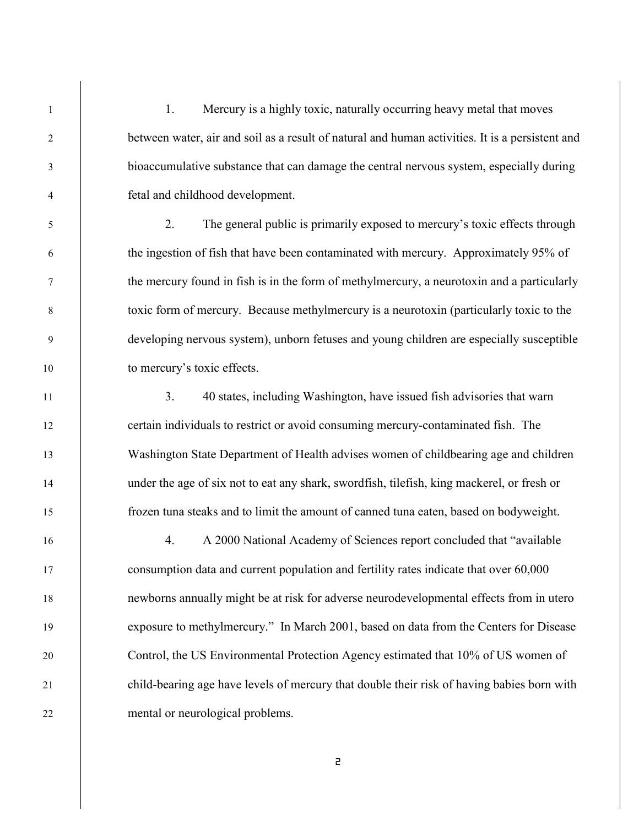1 1. Mercury is a highly toxic, naturally occurring heavy metal that moves between water, air and soil as a result of natural and human activities. It is a persistent and bioaccumulative substance that can damage the central nervous system, especially during fetal and childhood development.

 2. The general public is primarily exposed to mercury's toxic effects through the ingestion of fish that have been contaminated with mercury. Approximately 95% of the mercury found in fish is in the form of methylmercury, a neurotoxin and a particularly toxic form of mercury. Because methylmercury is a neurotoxin (particularly toxic to the developing nervous system), unborn fetuses and young children are especially susceptible 10 to mercury's toxic effects.

11 1 3. 40 states, including Washington, have issued fish advisories that warn certain individuals to restrict or avoid consuming mercury-contaminated fish. The Washington State Department of Health advises women of childbearing age and children under the age of six not to eat any shark, swordfish, tilefish, king mackerel, or fresh or frozen tuna steaks and to limit the amount of canned tuna eaten, based on bodyweight.

 4. A 2000 National Academy of Sciences report concluded that "available consumption data and current population and fertility rates indicate that over 60,000 newborns annually might be at risk for adverse neurodevelopmental effects from in utero exposure to methylmercury." In March 2001, based on data from the Centers for Disease Control, the US Environmental Protection Agency estimated that 10% of US women of child-bearing age have levels of mercury that double their risk of having babies born with mental or neurological problems.  $\ddot{\phantom{1}}$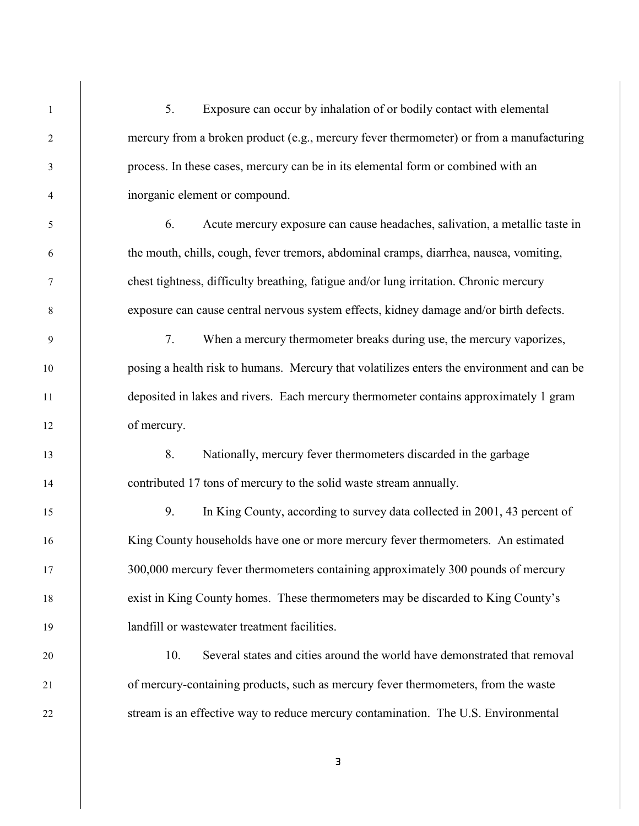5. Exposure can occur by inhalation of or bodily contact with elemental 2 mercury from a broken product (e.g., mercury fever thermometer) or from a manufacturing process. In these cases, mercury can be in its elemental form or combined with an inorganic element or compound. 6. Acute mercury exposure can cause headaches, salivation, a metallic taste in the mouth, chills, cough, fever tremors, abdominal cramps, diarrhea, nausea, vomiting, chest tightness, difficulty breathing, fatigue and/or lung irritation. Chronic mercury exposure can cause central nervous system effects, kidney damage and/or birth defects. 7. When a mercury thermometer breaks during use, the mercury vaporizes, posing a health risk to humans. Mercury that volatilizes enters the environment and can be deposited in lakes and rivers. Each mercury thermometer contains approximately 1 gram 12 of mercury. 13 8. Nationally, mercury fever thermometers discarded in the garbage 14 contributed 17 tons of mercury to the solid waste stream annually. 9. In King County, according to survey data collected in 2001, 43 percent of King County households have one or more mercury fever thermometers. An estimated 17 300,000 mercury fever thermometers containing approximately 300 pounds of mercury exist in King County homes. These thermometers may be discarded to King County's landfill or wastewater treatment facilities. 10. Several states and cities around the world have demonstrated that removal 21 of mercury-containing products, such as mercury fever thermometers, from the waste stream is an effective way to reduce mercury contamination. The U.S. Environmental  $\frac{1}{2}$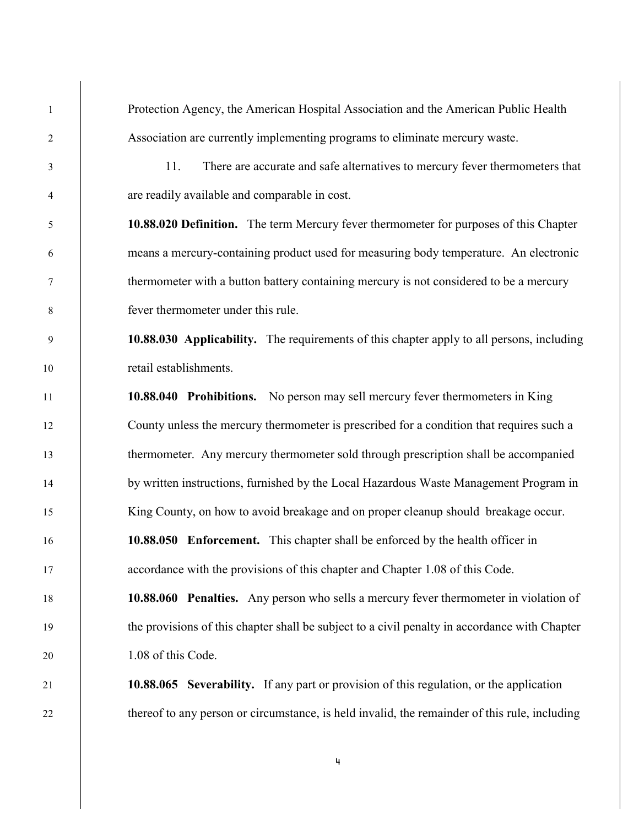Protection Agency, the American Hospital Association and the American Public Health Association are currently implementing programs to eliminate mercury waste. 11. There are accurate and safe alternatives to mercury fever thermometers that are readily available and comparable in cost. **10.88.020 Definition.** The term Mercury fever thermometer for purposes of this Chapter means a mercury-containing product used for measuring body temperature. An electronic thermometer with a button battery containing mercury is not considered to be a mercury fever thermometer under this rule. **10.88.030 Applicability.** The requirements of this chapter apply to all persons, including retail establishments. **10.88.040 Prohibitions.** No person may sell mercury fever thermometers in King County unless the mercury thermometer is prescribed for a condition that requires such a 13 thermometer. Any mercury thermometer sold through prescription shall be accompanied by written instructions, furnished by the Local Hazardous Waste Management Program in King County, on how to avoid breakage and on proper cleanup should breakage occur. **10.88.050 Enforcement.** This chapter shall be enforced by the health officer in accordance with the provisions of this chapter and Chapter 1.08 of this Code. **10.88.060 Penalties.** Any person who sells a mercury fever thermometer in violation of the provisions of this chapter shall be subject to a civil penalty in accordance with Chapter 1.08 of this Code. **10.88.065 Severability.** If any part or provision of this regulation, or the application thereof to any person or circumstance, is held invalid, the remainder of this rule, including  $\ddot{\phantom{0}}$